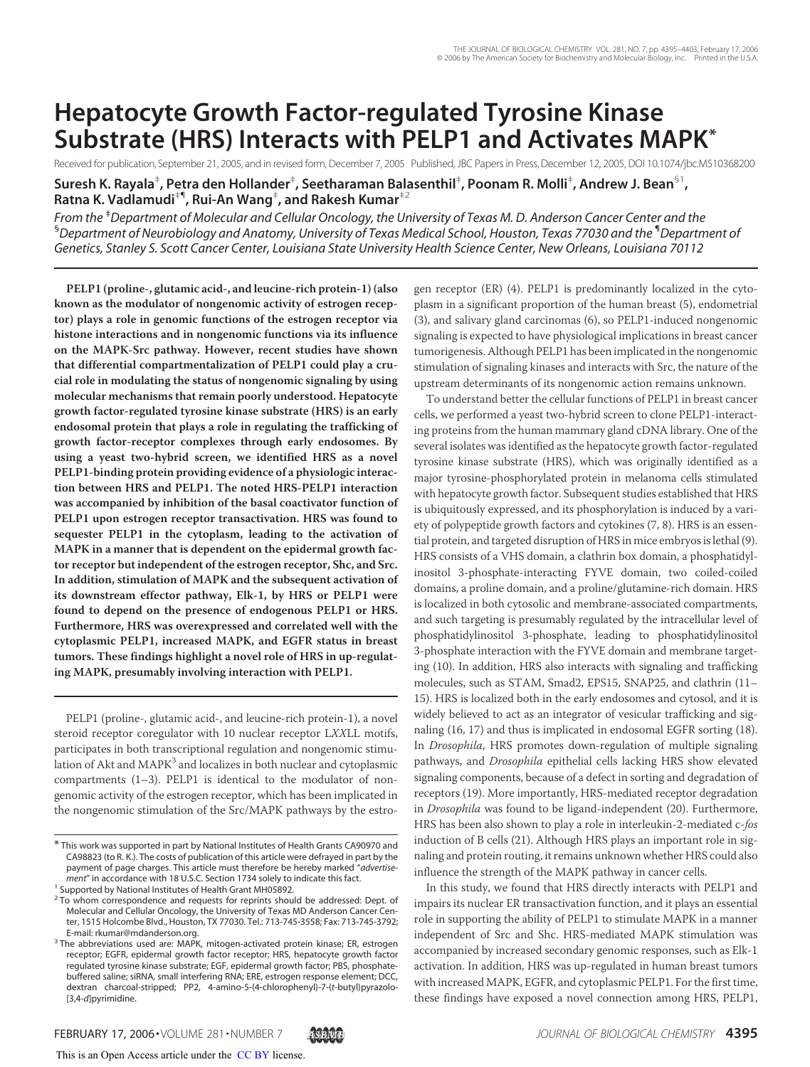# **Hepatocyte Growth Factor-regulated Tyrosine Kinase Substrate (HRS) Interacts with PELP1 and Activates MAPK\***

Received for publication, September 21, 2005, and in revised form, December 7, 2005 Published, JBC Papers in Press, December 12, 2005, DOI 10.1074/jbc.M510368200 **Suresh K. Rayala**‡ **, Petra den Hollander**‡ **, Seetharaman Balasenthil**‡ **, Poonam R. Molli**‡ **, Andrew J. Bean**§1 **, Ratna K. Vadlamudi**‡¶**, Rui-An Wang**‡ **, and Rakesh Kumar**‡2

*From the* ‡*Department of Molecular and Cellular Oncology, the University of Texas M. D. Anderson Cancer Center and the* §*Department of Neurobiology and Anatomy, University of Texas Medical School, Houston, Texas 77030 and the* ¶*Department of Genetics, Stanley S. Scott Cancer Center, Louisiana State University Health Science Center, New Orleans, Louisiana 70112*

**PELP1 (proline-, glutamic acid-, and leucine-rich protein-1) (also known as the modulator of nongenomic activity of estrogen receptor) plays a role in genomic functions of the estrogen receptor via histone interactions and in nongenomic functions via its influence on the MAPK-Src pathway. However, recent studies have shown that differential compartmentalization of PELP1 could play a crucial role in modulating the status of nongenomic signaling by using molecular mechanisms that remain poorly understood. Hepatocyte growth factor-regulated tyrosine kinase substrate (HRS) is an early endosomal protein that plays a role in regulating the trafficking of growth factor-receptor complexes through early endosomes. By using a yeast two-hybrid screen, we identified HRS as a novel PELP1-binding protein providing evidence of a physiologic interaction between HRS and PELP1. The noted HRS-PELP1 interaction was accompanied by inhibition of the basal coactivator function of PELP1 upon estrogen receptor transactivation. HRS was found to sequester PELP1 in the cytoplasm, leading to the activation of MAPK in a manner that is dependent on the epidermal growth factor receptor but independent of the estrogen receptor, Shc, and Src. In addition, stimulation of MAPK and the subsequent activation of its downstream effector pathway, Elk-1, by HRS or PELP1 were found to depend on the presence of endogenous PELP1 or HRS. Furthermore, HRS was overexpressed and correlated well with the cytoplasmic PELP1, increased MAPK, and EGFR status in breast tumors. These findings highlight a novel role of HRS in up-regulating MAPK, presumably involving interaction with PELP1.**

PELP1 (proline-, glutamic acid-, and leucine-rich protein-1), a novel steroid receptor coregulator with 10 nuclear receptor LXXLL motifs, participates in both transcriptional regulation and nongenomic stimulation of Akt and  $\text{MAPK}^3$  and localizes in both nuclear and cytoplasmic compartments (1–3). PELP1 is identical to the modulator of nongenomic activity of the estrogen receptor, which has been implicated in the nongenomic stimulation of the Src/MAPK pathways by the estrogen receptor (ER) (4). PELP1 is predominantly localized in the cytoplasm in a significant proportion of the human breast (5), endometrial (3), and salivary gland carcinomas (6), so PELP1-induced nongenomic signaling is expected to have physiological implications in breast cancer tumorigenesis. Although PELP1 has been implicated in the nongenomic stimulation of signaling kinases and interacts with Src, the nature of the upstream determinants of its nongenomic action remains unknown.

To understand better the cellular functions of PELP1 in breast cancer cells, we performed a yeast two-hybrid screen to clone PELP1-interacting proteins from the human mammary gland cDNA library. One of the several isolates was identified as the hepatocyte growth factor-regulated tyrosine kinase substrate (HRS), which was originally identified as a major tyrosine-phosphorylated protein in melanoma cells stimulated with hepatocyte growth factor. Subsequent studies established that HRS is ubiquitously expressed, and its phosphorylation is induced by a variety of polypeptide growth factors and cytokines (7, 8). HRS is an essential protein, and targeted disruption of HRS in mice embryos is lethal (9). HRS consists of a VHS domain, a clathrin box domain, a phosphatidylinositol 3-phosphate-interacting FYVE domain, two coiled-coiled domains, a proline domain, and a proline/glutamine-rich domain. HRS is localized in both cytosolic and membrane-associated compartments, and such targeting is presumably regulated by the intracellular level of phosphatidylinositol 3-phosphate, leading to phosphatidylinositol 3-phosphate interaction with the FYVE domain and membrane targeting (10). In addition, HRS also interacts with signaling and trafficking molecules, such as STAM, Smad2, EPS15, SNAP25, and clathrin (11– 15). HRS is localized both in the early endosomes and cytosol, and it is widely believed to act as an integrator of vesicular trafficking and signaling (16, 17) and thus is implicated in endosomal EGFR sorting (18). In Drosophila, HRS promotes down-regulation of multiple signaling pathways, and Drosophila epithelial cells lacking HRS show elevated signaling components, because of a defect in sorting and degradation of receptors (19). More importantly, HRS-mediated receptor degradation in Drosophila was found to be ligand-independent (20). Furthermore, HRS has been also shown to play a role in interleukin-2-mediated c-fos induction of B cells (21). Although HRS plays an important role in signaling and protein routing, it remains unknown whether HRS could also influence the strength of the MAPK pathway in cancer cells.

In this study, we found that HRS directly interacts with PELP1 and impairs its nuclear ER transactivation function, and it plays an essential role in supporting the ability of PELP1 to stimulate MAPK in a manner independent of Src and Shc. HRS-mediated MAPK stimulation was accompanied by increased secondary genomic responses, such as Elk-1 activation. In addition, HRS was up-regulated in human breast tumors with increased MAPK, EGFR, and cytoplasmic PELP1. For the first time, these findings have exposed a novel connection among HRS, PELP1,

<sup>\*</sup> This work was supported in part by National Institutes of Health Grants CA90970 and CA98823 (to R. K.). The costs of publication of this article were defrayed in part by the payment of page charges. This article must therefore be hereby marked "*advertisement*" in accordance with 18 U.S.C. Section 1734 solely to indicate this fact.

<sup>&</sup>lt;sup>1</sup> Supported by National Institutes of Health Grant MH05892.

<sup>&</sup>lt;sup>2</sup> To whom correspondence and requests for reprints should be addressed: Dept. of Molecular and Cellular Oncology, the University of Texas MD Anderson Cancer Center, 1515 Holcombe Blvd., Houston, TX 77030. Tel.: 713-745-3558; Fax: 713-745-3792; E-mail: rkumar@mdanderson.org.

<sup>&</sup>lt;sup>3</sup> The abbreviations used are: MAPK, mitogen-activated protein kinase; ER, estrogen receptor; EGFR, epidermal growth factor receptor; HRS, hepatocyte growth factor regulated tyrosine kinase substrate; EGF, epidermal growth factor; PBS, phosphatebuffered saline; siRNA, small interfering RNA; ERE, estrogen response element; DCC, dextran charcoal-stripped; PP2, 4-amino-5-(4-chlorophenyl)-7-(*t*-butyl)pyrazolo- [3,4-*d*]pyrimidine.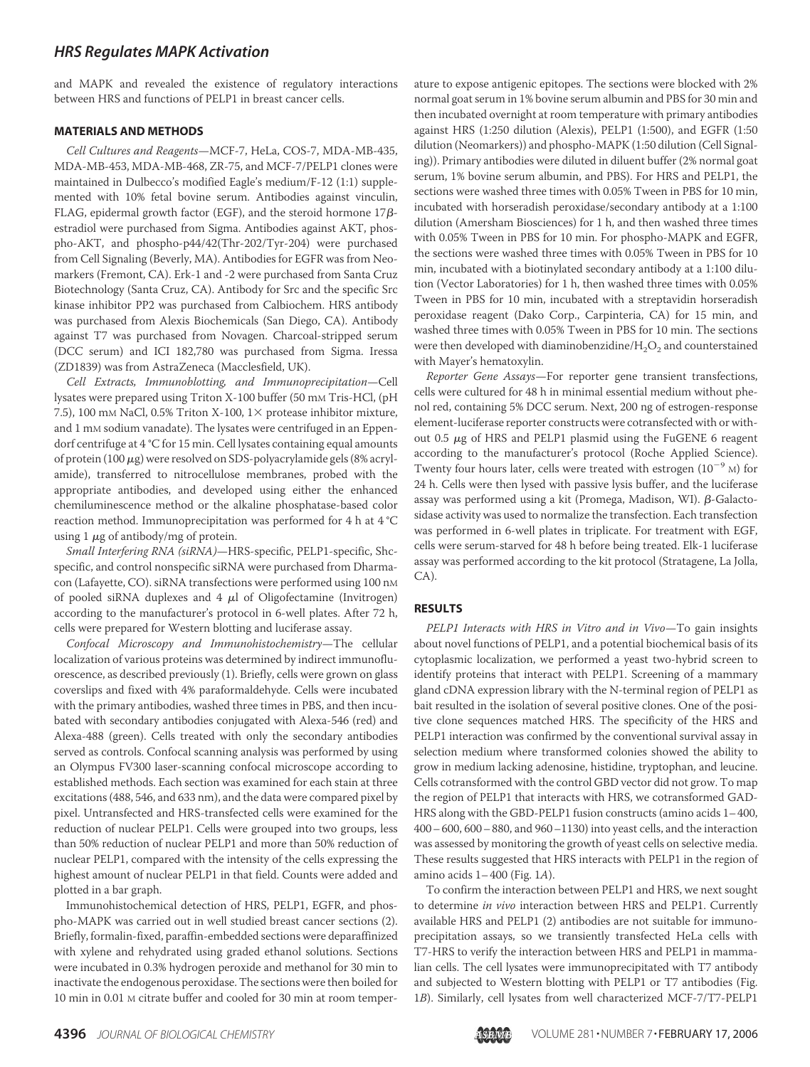### *HRS Regulates MAPK Activation*

and MAPK and revealed the existence of regulatory interactions between HRS and functions of PELP1 in breast cancer cells.

#### **MATERIALS AND METHODS**

Cell Cultures and Reagents—MCF-7, HeLa, COS-7, MDA-MB-435, MDA-MB-453, MDA-MB-468, ZR-75, and MCF-7/PELP1 clones were maintained in Dulbecco's modified Eagle's medium/F-12 (1:1) supplemented with 10% fetal bovine serum. Antibodies against vinculin, FLAG, epidermal growth factor (EGF), and the steroid hormone  $17\beta$ estradiol were purchased from Sigma. Antibodies against AKT, phospho-AKT, and phospho-p44/42(Thr-202/Tyr-204) were purchased from Cell Signaling (Beverly, MA). Antibodies for EGFR was from Neomarkers (Fremont, CA). Erk-1 and -2 were purchased from Santa Cruz Biotechnology (Santa Cruz, CA). Antibody for Src and the specific Src kinase inhibitor PP2 was purchased from Calbiochem. HRS antibody was purchased from Alexis Biochemicals (San Diego, CA). Antibody against T7 was purchased from Novagen. Charcoal-stripped serum (DCC serum) and ICI 182,780 was purchased from Sigma. Iressa (ZD1839) was from AstraZeneca (Macclesfield, UK).

Cell Extracts, Immunoblotting, and Immunoprecipitation—Cell lysates were prepared using Triton X-100 buffer (50 mm Tris-HCl, (pH 7.5), 100 mm NaCl, 0.5% Triton X-100,  $1 \times$  protease inhibitor mixture, and 1 mM sodium vanadate). The lysates were centrifuged in an Eppendorf centrifuge at 4 °C for 15 min. Cell lysates containing equal amounts of protein (100  $\mu$ g) were resolved on SDS-polyacrylamide gels (8% acrylamide), transferred to nitrocellulose membranes, probed with the appropriate antibodies, and developed using either the enhanced chemiluminescence method or the alkaline phosphatase-based color reaction method. Immunoprecipitation was performed for 4 h at 4 °C using  $1 \mu$ g of antibody/mg of protein.

Small Interfering RNA (siRNA)—HRS-specific, PELP1-specific, Shcspecific, and control nonspecific siRNA were purchased from Dharmacon (Lafayette, CO). siRNA transfections were performed using 100 nM of pooled siRNA duplexes and  $4 \mu l$  of Oligofectamine (Invitrogen) according to the manufacturer's protocol in 6-well plates. After 72 h, cells were prepared for Western blotting and luciferase assay.

Confocal Microscopy and Immunohistochemistry—The cellular localization of various proteins was determined by indirect immunofluorescence, as described previously (1). Briefly, cells were grown on glass coverslips and fixed with 4% paraformaldehyde. Cells were incubated with the primary antibodies, washed three times in PBS, and then incubated with secondary antibodies conjugated with Alexa-546 (red) and Alexa-488 (green). Cells treated with only the secondary antibodies served as controls. Confocal scanning analysis was performed by using an Olympus FV300 laser-scanning confocal microscope according to established methods. Each section was examined for each stain at three excitations (488, 546, and 633 nm), and the data were compared pixel by pixel. Untransfected and HRS-transfected cells were examined for the reduction of nuclear PELP1. Cells were grouped into two groups, less than 50% reduction of nuclear PELP1 and more than 50% reduction of nuclear PELP1, compared with the intensity of the cells expressing the highest amount of nuclear PELP1 in that field. Counts were added and plotted in a bar graph.

Immunohistochemical detection of HRS, PELP1, EGFR, and phospho-MAPK was carried out in well studied breast cancer sections (2). Briefly, formalin-fixed, paraffin-embedded sections were deparaffinized with xylene and rehydrated using graded ethanol solutions. Sections were incubated in 0.3% hydrogen peroxide and methanol for 30 min to inactivate the endogenous peroxidase. The sections were then boiled for 10 min in 0.01 M citrate buffer and cooled for 30 min at room temperature to expose antigenic epitopes. The sections were blocked with 2% normal goat serum in 1% bovine serum albumin and PBS for 30 min and then incubated overnight at room temperature with primary antibodies against HRS (1:250 dilution (Alexis), PELP1 (1:500), and EGFR (1:50 dilution (Neomarkers)) and phospho-MAPK (1:50 dilution (Cell Signaling)). Primary antibodies were diluted in diluent buffer (2% normal goat serum, 1% bovine serum albumin, and PBS). For HRS and PELP1, the sections were washed three times with 0.05% Tween in PBS for 10 min, incubated with horseradish peroxidase/secondary antibody at a 1:100 dilution (Amersham Biosciences) for 1 h, and then washed three times with 0.05% Tween in PBS for 10 min. For phospho-MAPK and EGFR, the sections were washed three times with 0.05% Tween in PBS for 10 min, incubated with a biotinylated secondary antibody at a 1:100 dilution (Vector Laboratories) for 1 h, then washed three times with 0.05% Tween in PBS for 10 min, incubated with a streptavidin horseradish peroxidase reagent (Dako Corp., Carpinteria, CA) for 15 min, and washed three times with 0.05% Tween in PBS for 10 min. The sections were then developed with diaminobenzidine/H $_{2} \mathrm{O}_{2}$  and counterstained with Mayer's hematoxylin.

Reporter Gene Assays—For reporter gene transient transfections, cells were cultured for 48 h in minimal essential medium without phenol red, containing 5% DCC serum. Next, 200 ng of estrogen-response element-luciferase reporter constructs were cotransfected with or without 0.5  $\mu$ g of HRS and PELP1 plasmid using the FuGENE 6 reagent according to the manufacturer's protocol (Roche Applied Science). Twenty four hours later, cells were treated with estrogen  $(10^{-9}$  M) for 24 h. Cells were then lysed with passive lysis buffer, and the luciferase assay was performed using a kit (Promega, Madison, WI).  $\beta$ -Galactosidase activity was used to normalize the transfection. Each transfection was performed in 6-well plates in triplicate. For treatment with EGF, cells were serum-starved for 48 h before being treated. Elk-1 luciferase assay was performed according to the kit protocol (Stratagene, La Jolla, CA).

#### **RESULTS**

PELP1 Interacts with HRS in Vitro and in Vivo-To gain insights about novel functions of PELP1, and a potential biochemical basis of its cytoplasmic localization, we performed a yeast two-hybrid screen to identify proteins that interact with PELP1. Screening of a mammary gland cDNA expression library with the N-terminal region of PELP1 as bait resulted in the isolation of several positive clones. One of the positive clone sequences matched HRS. The specificity of the HRS and PELP1 interaction was confirmed by the conventional survival assay in selection medium where transformed colonies showed the ability to grow in medium lacking adenosine, histidine, tryptophan, and leucine. Cells cotransformed with the control GBD vector did not grow. To map the region of PELP1 that interacts with HRS, we cotransformed GAD-HRS along with the GBD-PELP1 fusion constructs (amino acids 1–400, 400–600, 600–880, and 960–1130) into yeast cells, and the interaction was assessed by monitoring the growth of yeast cells on selective media. These results suggested that HRS interacts with PELP1 in the region of amino acids  $1-400$  (Fig. 1A).

To confirm the interaction between PELP1 and HRS, we next sought to determine in vivo interaction between HRS and PELP1. Currently available HRS and PELP1 (2) antibodies are not suitable for immunoprecipitation assays, so we transiently transfected HeLa cells with T7-HRS to verify the interaction between HRS and PELP1 in mammalian cells. The cell lysates were immunoprecipitated with T7 antibody and subjected to Western blotting with PELP1 or T7 antibodies (Fig. 1B). Similarly, cell lysates from well characterized MCF-7/T7-PELP1

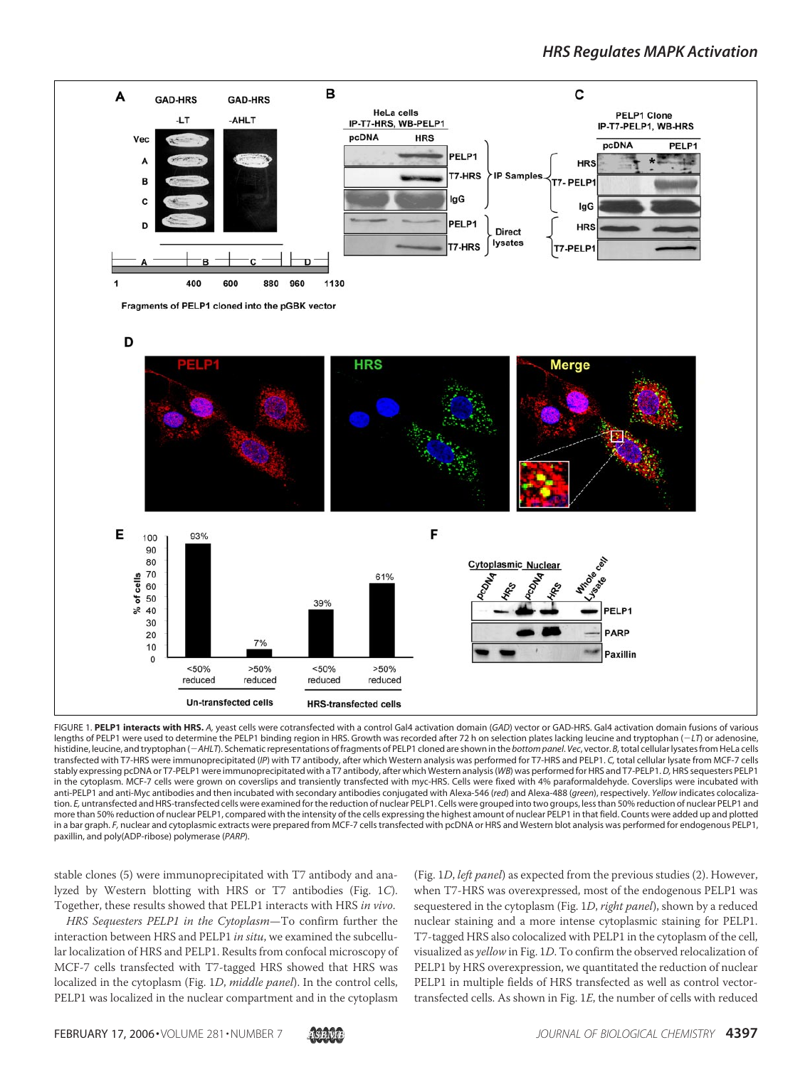

FIGURE 1. **PELP1 interacts with HRS.** *A,* yeast cells were cotransfected with a control Gal4 activation domain (*GAD*) vector or GAD-HRS. Gal4 activation domain fusions of various lengths of PELP1 were used to determine the PELP1 binding region in HRS. Growth was recorded after 72 h on selection plates lacking leucine and tryptophan (-*LT*) or adenosine, histidine, leucine, and tryptophan (-*AHLT*). Schematic representations of fragments of PELP1 cloned are shown in the *bottom panel*. *Vec*, vector. *B,*total cellular lysates from HeLa cells transfected with T7-HRS were immunoprecipitated (*IP*) with T7 antibody, after which Western analysis was performed for T7-HRS and PELP1. *C,* total cellular lysate from MCF-7 cells stably expressing pcDNA or T7-PELP1 were immunoprecipitated with a T7 antibody, after which Western analysis (*WB*) was performed for HRS and T7-PELP1.*D,*HRS sequesters PELP1 in the cytoplasm. MCF-7 cells were grown on coverslips and transiently transfected with myc-HRS. Cells were fixed with 4% paraformaldehyde. Coverslips were incubated with anti-PELP1 and anti-Myc antibodies and then incubated with secondary antibodies conjugated with Alexa-546 (*red*) and Alexa-488 (*green*), respectively. *Yellow* indicates colocalization. *E,* untransfected and HRS-transfected cells were examined for the reduction of nuclear PELP1. Cells were grouped into two groups, less than 50% reduction of nuclear PELP1 and more than 50% reduction of nuclear PELP1, compared with the intensity of the cells expressing the highest amount of nuclear PELP1 in that field. Counts were added up and plotted in a bar graph. F, nuclear and cytoplasmic extracts were prepared from MCF-7 cells transfected with pcDNA or HRS and Western blot analysis was performed for endogenous PELP1, paxillin, and poly(ADP-ribose) polymerase (*PARP*).

stable clones (5) were immunoprecipitated with T7 antibody and analyzed by Western blotting with HRS or T7 antibodies (Fig. 1C). Together, these results showed that PELP1 interacts with HRS in vivo.

HRS Sequesters PELP1 in the Cytoplasm—To confirm further the interaction between HRS and PELP1 in situ, we examined the subcellular localization of HRS and PELP1. Results from confocal microscopy of MCF-7 cells transfected with T7-tagged HRS showed that HRS was localized in the cytoplasm (Fig. 1D, middle panel). In the control cells, PELP1 was localized in the nuclear compartment and in the cytoplasm

(Fig. 1D, left panel) as expected from the previous studies (2). However, when T7-HRS was overexpressed, most of the endogenous PELP1 was sequestered in the cytoplasm (Fig. 1D, right panel), shown by a reduced nuclear staining and a more intense cytoplasmic staining for PELP1. T7-tagged HRS also colocalized with PELP1 in the cytoplasm of the cell, visualized as yellow in Fig. 1D. To confirm the observed relocalization of PELP1 by HRS overexpression, we quantitated the reduction of nuclear PELP1 in multiple fields of HRS transfected as well as control vectortransfected cells. As shown in Fig. 1E, the number of cells with reduced

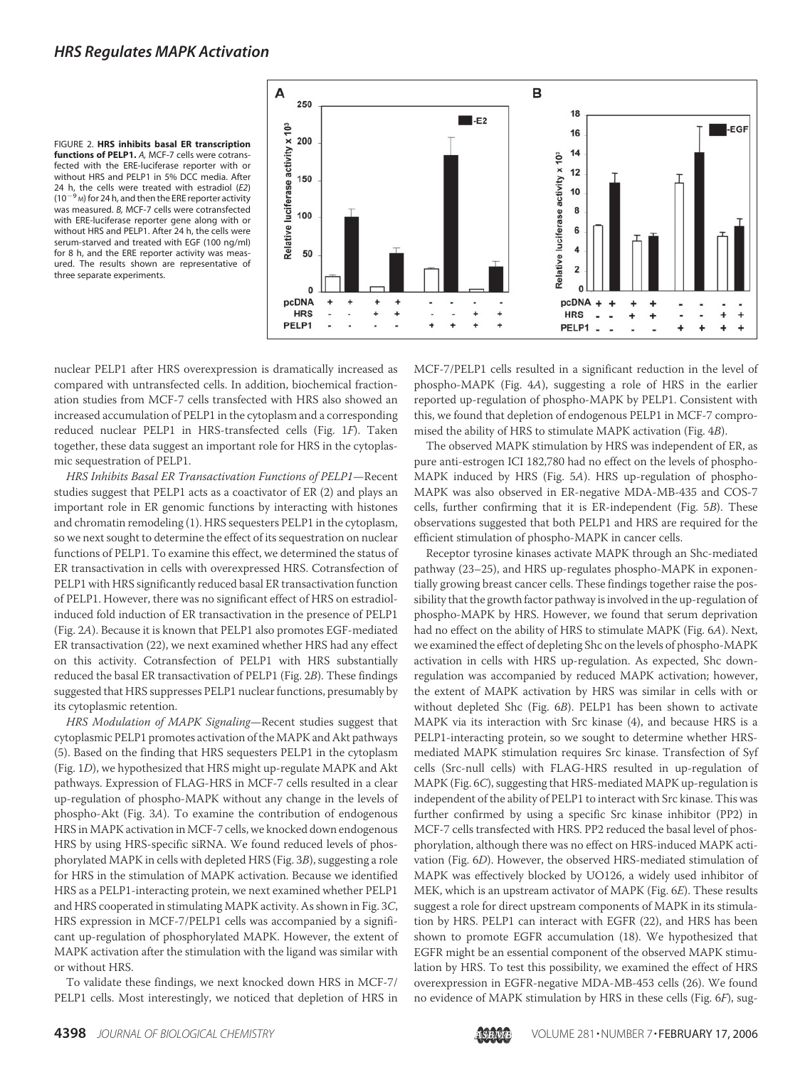### *HRS Regulates MAPK Activation*





nuclear PELP1 after HRS overexpression is dramatically increased as compared with untransfected cells. In addition, biochemical fractionation studies from MCF-7 cells transfected with HRS also showed an increased accumulation of PELP1 in the cytoplasm and a corresponding reduced nuclear PELP1 in HRS-transfected cells (Fig. 1F). Taken together, these data suggest an important role for HRS in the cytoplasmic sequestration of PELP1.

HRS Inhibits Basal ER Transactivation Functions of PELP1—Recent studies suggest that PELP1 acts as a coactivator of ER (2) and plays an important role in ER genomic functions by interacting with histones and chromatin remodeling (1). HRS sequesters PELP1 in the cytoplasm, so we next sought to determine the effect of its sequestration on nuclear functions of PELP1. To examine this effect, we determined the status of ER transactivation in cells with overexpressed HRS. Cotransfection of PELP1 with HRS significantly reduced basal ER transactivation function of PELP1. However, there was no significant effect of HRS on estradiolinduced fold induction of ER transactivation in the presence of PELP1 (Fig. 2A). Because it is known that PELP1 also promotes EGF-mediated ER transactivation (22), we next examined whether HRS had any effect on this activity. Cotransfection of PELP1 with HRS substantially reduced the basal ER transactivation of PELP1 (Fig. 2B). These findings suggested that HRS suppresses PELP1 nuclear functions, presumably by its cytoplasmic retention.

HRS Modulation of MAPK Signaling—Recent studies suggest that cytoplasmic PELP1 promotes activation of the MAPK and Akt pathways (5). Based on the finding that HRS sequesters PELP1 in the cytoplasm (Fig. 1D), we hypothesized that HRS might up-regulate MAPK and Akt pathways. Expression of FLAG-HRS in MCF-7 cells resulted in a clear up-regulation of phospho-MAPK without any change in the levels of phospho-Akt (Fig. 3A). To examine the contribution of endogenous HRS in MAPK activation in MCF-7 cells, we knocked down endogenous HRS by using HRS-specific siRNA. We found reduced levels of phosphorylated MAPK in cells with depleted HRS (Fig. 3B), suggesting a role for HRS in the stimulation of MAPK activation. Because we identified HRS as a PELP1-interacting protein, we next examined whether PELP1 and HRS cooperated in stimulating MAPK activity. As shown in Fig. 3C, HRS expression in MCF-7/PELP1 cells was accompanied by a significant up-regulation of phosphorylated MAPK. However, the extent of MAPK activation after the stimulation with the ligand was similar with or without HRS.

To validate these findings, we next knocked down HRS in MCF-7/ PELP1 cells. Most interestingly, we noticed that depletion of HRS in MCF-7/PELP1 cells resulted in a significant reduction in the level of phospho-MAPK (Fig. 4A), suggesting a role of HRS in the earlier reported up-regulation of phospho-MAPK by PELP1. Consistent with this, we found that depletion of endogenous PELP1 in MCF-7 compromised the ability of HRS to stimulate MAPK activation (Fig. 4B).

The observed MAPK stimulation by HRS was independent of ER, as pure anti-estrogen ICI 182,780 had no effect on the levels of phospho-MAPK induced by HRS (Fig. 5A). HRS up-regulation of phospho-MAPK was also observed in ER-negative MDA-MB-435 and COS-7 cells, further confirming that it is ER-independent (Fig. 5B). These observations suggested that both PELP1 and HRS are required for the efficient stimulation of phospho-MAPK in cancer cells.

Receptor tyrosine kinases activate MAPK through an Shc-mediated pathway (23–25), and HRS up-regulates phospho-MAPK in exponentially growing breast cancer cells. These findings together raise the possibility that the growth factor pathway is involved in the up-regulation of phospho-MAPK by HRS. However, we found that serum deprivation had no effect on the ability of HRS to stimulate MAPK (Fig. 6A). Next, we examined the effect of depleting Shc on the levels of phospho-MAPK activation in cells with HRS up-regulation. As expected, Shc downregulation was accompanied by reduced MAPK activation; however, the extent of MAPK activation by HRS was similar in cells with or without depleted Shc (Fig. 6B). PELP1 has been shown to activate MAPK via its interaction with Src kinase (4), and because HRS is a PELP1-interacting protein, so we sought to determine whether HRSmediated MAPK stimulation requires Src kinase. Transfection of Syf cells (Src-null cells) with FLAG-HRS resulted in up-regulation of MAPK (Fig. 6C), suggesting that HRS-mediated MAPK up-regulation is independent of the ability of PELP1 to interact with Src kinase. This was further confirmed by using a specific Src kinase inhibitor (PP2) in MCF-7 cells transfected with HRS. PP2 reduced the basal level of phosphorylation, although there was no effect on HRS-induced MAPK activation (Fig. 6D). However, the observed HRS-mediated stimulation of MAPK was effectively blocked by UO126, a widely used inhibitor of MEK, which is an upstream activator of MAPK (Fig. 6E). These results suggest a role for direct upstream components of MAPK in its stimulation by HRS. PELP1 can interact with EGFR (22), and HRS has been shown to promote EGFR accumulation (18). We hypothesized that EGFR might be an essential component of the observed MAPK stimulation by HRS. To test this possibility, we examined the effect of HRS overexpression in EGFR-negative MDA-MB-453 cells (26). We found no evidence of MAPK stimulation by HRS in these cells (Fig. 6F), sug-

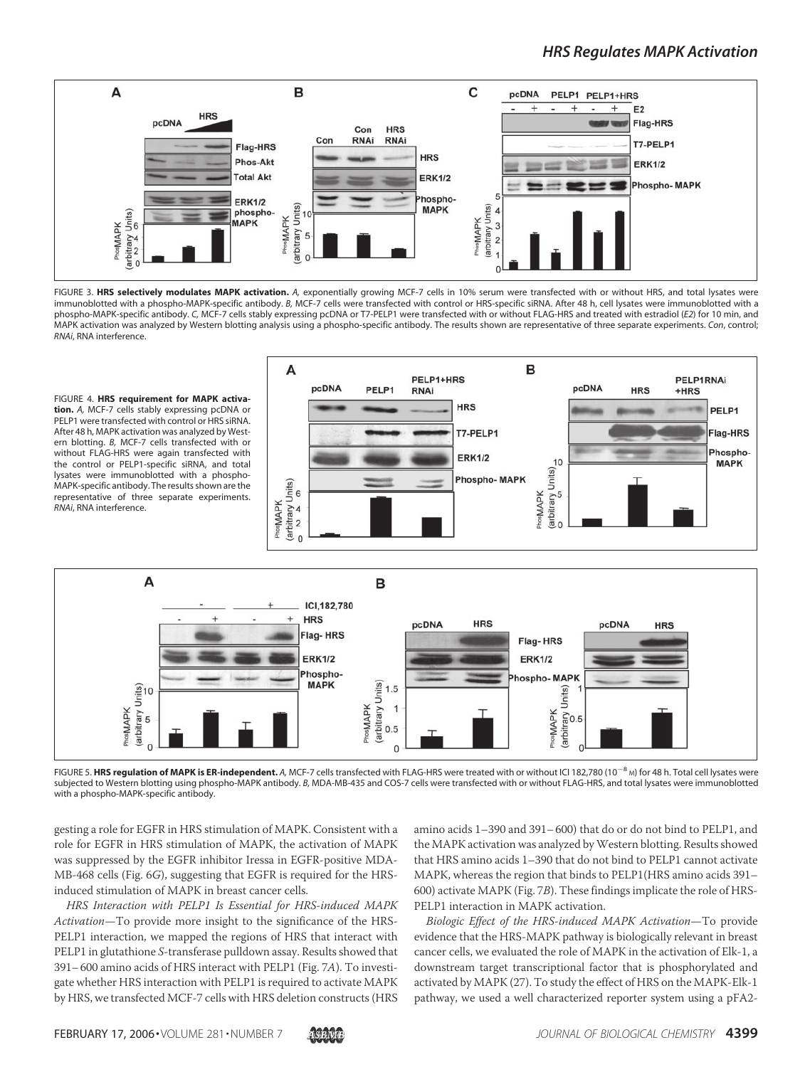# *HRS Regulates MAPK Activation*



FIGURE 3. **HRS selectively modulates MAPK activation.** *A,* exponentially growing MCF-7 cells in 10% serum were transfected with or without HRS, and total lysates were immunoblotted with a phospho-MAPK-specific antibody. *B,* MCF-7 cells were transfected with control or HRS-specific siRNA. After 48 h, cell lysates were immunoblotted with a phospho-MAPK-specific antibody. *C,* MCF-7 cells stably expressing pcDNA or T7-PELP1 were transfected with or without FLAG-HRS and treated with estradiol (*E2*) for 10 min, and MAPK activation was analyzed by Western blotting analysis using a phospho-specific antibody. The results shown are representative of three separate experiments. *Con*, control; *RNAi*, RNA interference.



FIGURE 5. **HRS regulation of MAPK is ER-independent.** A, MCF-7 cells transfected with FLAG-HRS were treated with or without ICI 182,780 (10<sup>-8</sup> м) for 48 h. Total cell lysates were subjected to Western blotting using phospho-MAPK antibody. *B,* MDA-MB-435 and COS-7 cells were transfected with or without FLAG-HRS, and total lysates were immunoblotted with a phospho-MAPK-specific antibody.

gesting a role for EGFR in HRS stimulation of MAPK. Consistent with a role for EGFR in HRS stimulation of MAPK, the activation of MAPK was suppressed by the EGFR inhibitor Iressa in EGFR-positive MDA-MB-468 cells (Fig. 6G), suggesting that EGFR is required for the HRSinduced stimulation of MAPK in breast cancer cells.

HRS Interaction with PELP1 Is Essential for HRS-induced MAPK Activation—To provide more insight to the significance of the HRS-PELP1 interaction, we mapped the regions of HRS that interact with PELP1 in glutathione S-transferase pulldown assay. Results showed that 391–600 amino acids of HRS interact with PELP1 (Fig. 7A). To investigate whether HRS interaction with PELP1 is required to activate MAPK by HRS, we transfected MCF-7 cells with HRS deletion constructs (HRS

amino acids 1–390 and 391–600) that do or do not bind to PELP1, and the MAPK activation was analyzed by Western blotting. Results showed that HRS amino acids 1–390 that do not bind to PELP1 cannot activate MAPK, whereas the region that binds to PELP1(HRS amino acids 391– 600) activate MAPK (Fig. 7B). These findings implicate the role of HRS-PELP1 interaction in MAPK activation.

Biologic Effect of the HRS-induced MAPK Activation—To provide evidence that the HRS-MAPK pathway is biologically relevant in breast cancer cells, we evaluated the role of MAPK in the activation of Elk-1, a downstream target transcriptional factor that is phosphorylated and activated by MAPK (27). To study the effect of HRS on the MAPK-Elk-1 pathway, we used a well characterized reporter system using a pFA2-

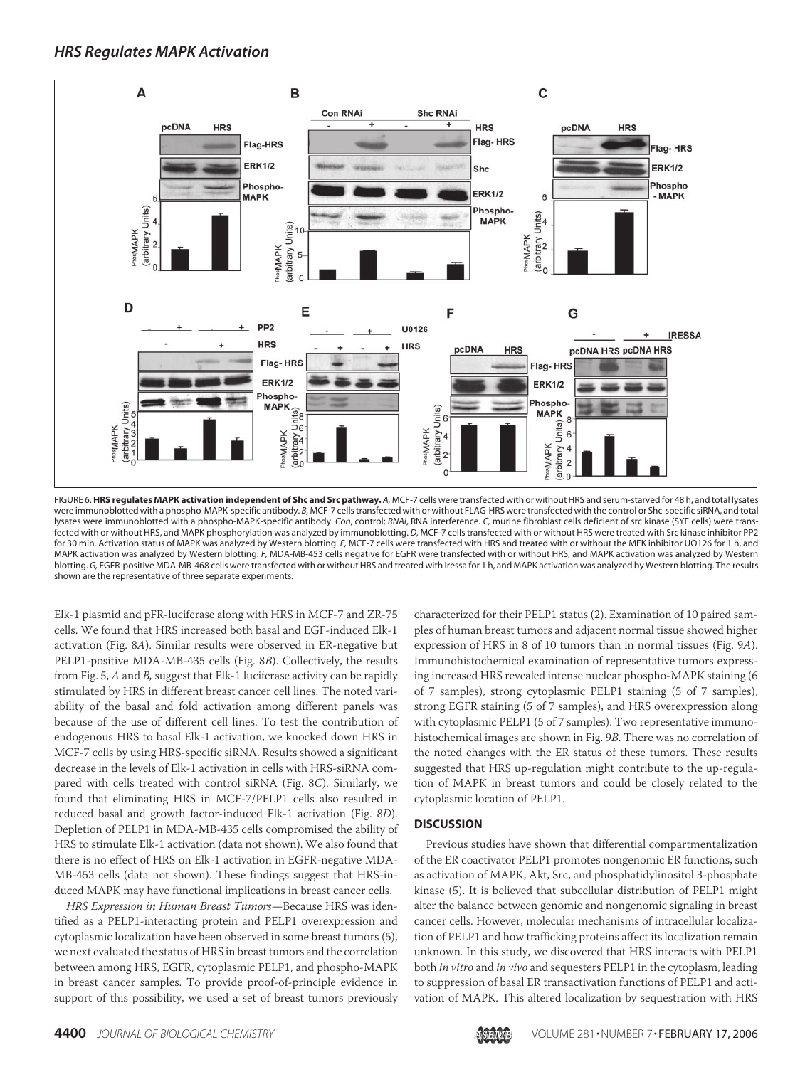

FIGURE 6.**HRS regulates MAPK activation independent of Shc and Src pathway.** *A,* MCF-7 cells were transfected with or without HRS and serum-starved for 48 h, and total lysates were immunoblotted with a phospho-MAPK-specific antibody. *B,* MCF-7 cells transfected with or without FLAG-HRS were transfected with the control or Shc-specific siRNA, and total lysates were immunoblotted with a phospho-MAPK-specific antibody. *Con*, control; *RNAi*, RNA interference. *C,* murine fibroblast cells deficient of src kinase (SYF cells) were transfected with or without HRS, and MAPK phosphorylation was analyzed by immunoblotting. *D,* MCF-7 cells transfected with or without HRS were treated with Src kinase inhibitor PP2 for 30 min. Activation status of MAPK was analyzed by Western blotting. *E,* MCF-7 cells were transfected with HRS and treated with or without the MEK inhibitor UO126 for 1 h, and MAPK activation was analyzed by Western blotting. *F,* MDA-MB-453 cells negative for EGFR were transfected with or without HRS, and MAPK activation was analyzed by Western blotting. *G,* EGFR-positive MDA-MB-468 cells were transfected with or without HRS and treated with Iressa for 1 h, and MAPK activation was analyzed by Western blotting. The results shown are the representative of three separate experiments.

Elk-1 plasmid and pFR-luciferase along with HRS in MCF-7 and ZR-75 cells. We found that HRS increased both basal and EGF-induced Elk-1 activation (Fig. 8A). Similar results were observed in ER-negative but PELP1-positive MDA-MB-435 cells (Fig. 8B). Collectively, the results from Fig. 5, A and B, suggest that Elk-1 luciferase activity can be rapidly stimulated by HRS in different breast cancer cell lines. The noted variability of the basal and fold activation among different panels was because of the use of different cell lines. To test the contribution of endogenous HRS to basal Elk-1 activation, we knocked down HRS in MCF-7 cells by using HRS-specific siRNA. Results showed a significant decrease in the levels of Elk-1 activation in cells with HRS-siRNA compared with cells treated with control siRNA (Fig. 8C). Similarly, we found that eliminating HRS in MCF-7/PELP1 cells also resulted in reduced basal and growth factor-induced Elk-1 activation (Fig. 8D). Depletion of PELP1 in MDA-MB-435 cells compromised the ability of HRS to stimulate Elk-1 activation (data not shown). We also found that there is no effect of HRS on Elk-1 activation in EGFR-negative MDA-MB-453 cells (data not shown). These findings suggest that HRS-induced MAPK may have functional implications in breast cancer cells.

HRS Expression in Human Breast Tumors—Because HRS was identified as a PELP1-interacting protein and PELP1 overexpression and cytoplasmic localization have been observed in some breast tumors (5), we next evaluated the status of HRS in breast tumors and the correlation between among HRS, EGFR, cytoplasmic PELP1, and phospho-MAPK in breast cancer samples. To provide proof-of-principle evidence in support of this possibility, we used a set of breast tumors previously

characterized for their PELP1 status (2). Examination of 10 paired samples of human breast tumors and adjacent normal tissue showed higher expression of HRS in 8 of 10 tumors than in normal tissues (Fig. 9A). Immunohistochemical examination of representative tumors expressing increased HRS revealed intense nuclear phospho-MAPK staining (6 of 7 samples), strong cytoplasmic PELP1 staining (5 of 7 samples), strong EGFR staining (5 of 7 samples), and HRS overexpression along with cytoplasmic PELP1 (5 of 7 samples). Two representative immunohistochemical images are shown in Fig. 9B. There was no correlation of the noted changes with the ER status of these tumors. These results suggested that HRS up-regulation might contribute to the up-regulation of MAPK in breast tumors and could be closely related to the cytoplasmic location of PELP1.

#### **DISCUSSION**

Previous studies have shown that differential compartmentalization of the ER coactivator PELP1 promotes nongenomic ER functions, such as activation of MAPK, Akt, Src, and phosphatidylinositol 3-phosphate kinase (5). It is believed that subcellular distribution of PELP1 might alter the balance between genomic and nongenomic signaling in breast cancer cells. However, molecular mechanisms of intracellular localization of PELP1 and how trafficking proteins affect its localization remain unknown. In this study, we discovered that HRS interacts with PELP1 both in vitro and in vivo and sequesters PELP1 in the cytoplasm, leading to suppression of basal ER transactivation functions of PELP1 and activation of MAPK. This altered localization by sequestration with HRS

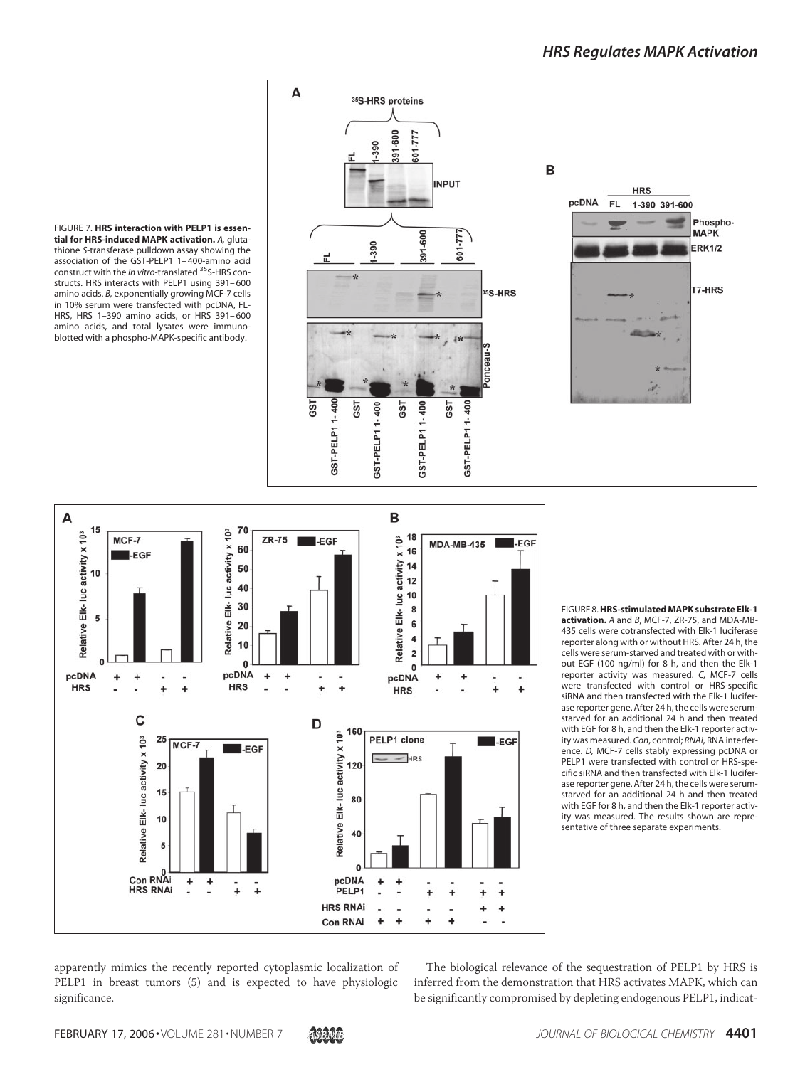

FIGURE 7. **HRS interaction with PELP1 is essential for HRS-induced MAPK activation.** *A,* glutathione *S*-transferase pulldown assay showing the association of the GST-PELP1 1– 400-amino acid construct with the *in vitro*-translated <sup>35</sup>S-HRS constructs. HRS interacts with PELP1 using 391– 600 amino acids. *B,* exponentially growing MCF-7 cells in 10% serum were transfected with pcDNA, FL-HRS, HRS 1–390 amino acids, or HRS 391– 600 amino acids, and total lysates were immunoblotted with a phospho-MAPK-specific antibody.



FIGURE 8.**HRS-stimulated MAPK substrate Elk-1 activation.** *A* and *B*, MCF-7, ZR-75, and MDA-MB-435 cells were cotransfected with Elk-1 luciferase reporter along with or without HRS. After 24 h, the cells were serum-starved and treated with or without EGF (100 ng/ml) for 8 h, and then the Elk-1 reporter activity was measured. *C,* MCF-7 cells were transfected with control or HRS-specific siRNA and then transfected with the Elk-1 luciferase reporter gene. After 24 h, the cells were serumstarved for an additional 24 h and then treated with EGF for 8 h, and then the Elk-1 reporter activity was measured. *Con*, control; *RNAi*, RNA interference. *D,* MCF-7 cells stably expressing pcDNA or PELP1 were transfected with control or HRS-specific siRNA and then transfected with Elk-1 luciferase reporter gene. After 24 h, the cells were serumstarved for an additional 24 h and then treated with EGF for 8 h, and then the Elk-1 reporter activity was measured. The results shown are representative of three separate experiments.

apparently mimics the recently reported cytoplasmic localization of PELP1 in breast tumors (5) and is expected to have physiologic significance.

The biological relevance of the sequestration of PELP1 by HRS is inferred from the demonstration that HRS activates MAPK, which can be significantly compromised by depleting endogenous PELP1, indicat-

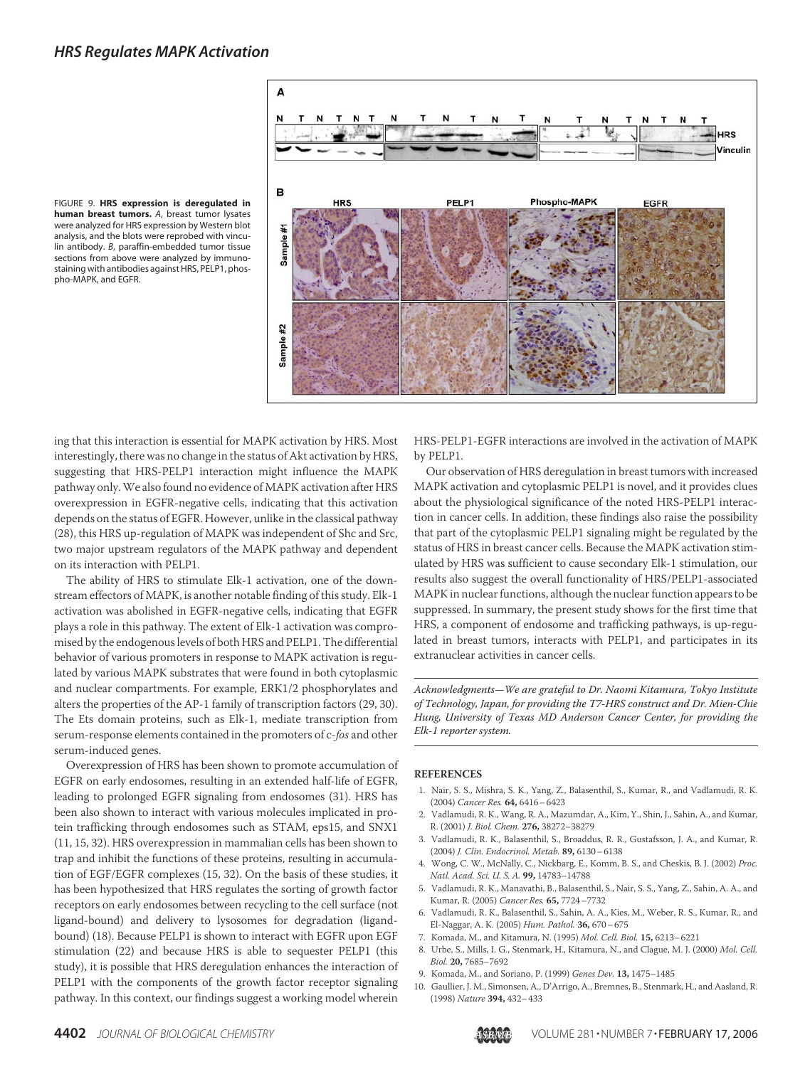

FIGURE 9. **HRS expression is deregulated in human breast tumors.** *A*, breast tumor lysates were analyzed for HRS expression by Western blot analysis, and the blots were reprobed with vinculin antibody. *B*, paraffin-embedded tumor tissue sections from above were analyzed by immunostaining with antibodies against HRS, PELP1, phospho-MAPK, and EGFR.

ing that this interaction is essential for MAPK activation by HRS. Most interestingly, there was no change in the status of Akt activation by HRS, suggesting that HRS-PELP1 interaction might influence the MAPK pathway only.We also found no evidence of MAPK activation after HRS overexpression in EGFR-negative cells, indicating that this activation depends on the status of EGFR. However, unlike in the classical pathway (28), this HRS up-regulation of MAPK was independent of Shc and Src, two major upstream regulators of the MAPK pathway and dependent on its interaction with PELP1.

The ability of HRS to stimulate Elk-1 activation, one of the downstream effectors of MAPK, is another notable finding of this study. Elk-1 activation was abolished in EGFR-negative cells, indicating that EGFR plays a role in this pathway. The extent of Elk-1 activation was compromised by the endogenous levels of both HRS and PELP1. The differential behavior of various promoters in response to MAPK activation is regulated by various MAPK substrates that were found in both cytoplasmic and nuclear compartments. For example, ERK1/2 phosphorylates and alters the properties of the AP-1 family of transcription factors (29, 30). The Ets domain proteins, such as Elk-1, mediate transcription from serum-response elements contained in the promoters of c-fos and other serum-induced genes.

Overexpression of HRS has been shown to promote accumulation of EGFR on early endosomes, resulting in an extended half-life of EGFR, leading to prolonged EGFR signaling from endosomes (31). HRS has been also shown to interact with various molecules implicated in protein trafficking through endosomes such as STAM, eps15, and SNX1 (11, 15, 32). HRS overexpression in mammalian cells has been shown to trap and inhibit the functions of these proteins, resulting in accumulation of EGF/EGFR complexes (15, 32). On the basis of these studies, it has been hypothesized that HRS regulates the sorting of growth factor receptors on early endosomes between recycling to the cell surface (not ligand-bound) and delivery to lysosomes for degradation (ligandbound) (18). Because PELP1 is shown to interact with EGFR upon EGF stimulation (22) and because HRS is able to sequester PELP1 (this study), it is possible that HRS deregulation enhances the interaction of PELP1 with the components of the growth factor receptor signaling pathway. In this context, our findings suggest a working model wherein

HRS-PELP1-EGFR interactions are involved in the activation of MAPK by PELP1.

Our observation of HRS deregulation in breast tumors with increased MAPK activation and cytoplasmic PELP1 is novel, and it provides clues about the physiological significance of the noted HRS-PELP1 interaction in cancer cells. In addition, these findings also raise the possibility that part of the cytoplasmic PELP1 signaling might be regulated by the status of HRS in breast cancer cells. Because the MAPK activation stimulated by HRS was sufficient to cause secondary Elk-1 stimulation, our results also suggest the overall functionality of HRS/PELP1-associated MAPK in nuclear functions, although the nuclear function appears to be suppressed. In summary, the present study shows for the first time that HRS, a component of endosome and trafficking pathways, is up-regulated in breast tumors, interacts with PELP1, and participates in its extranuclear activities in cancer cells.

Acknowledgments—We are grateful to Dr. Naomi Kitamura, Tokyo Institute of Technology, Japan, for providing the T7-HRS construct and Dr. Mien-Chie Hung, University of Texas MD Anderson Cancer Center, for providing the Elk-1 reporter system.

#### **REFERENCES**

- 1. Nair, S. S., Mishra, S. K., Yang, Z., Balasenthil, S., Kumar, R., and Vadlamudi, R. K. (2004) Cancer Res. **64,** 6416–6423
- 2. Vadlamudi, R. K., Wang, R. A., Mazumdar, A., Kim, Y., Shin, J., Sahin, A., and Kumar, R. (2001) J. Biol. Chem. **276,** 38272–38279
- 3. Vadlamudi, R. K., Balasenthil, S., Broaddus, R. R., Gustafsson, J. A., and Kumar, R. (2004) J. Clin. Endocrinol. Metab. **89,** 6130–6138
- 4. Wong, C. W., McNally, C., Nickbarg, E., Komm, B. S., and Cheskis, B. J. (2002) Proc. Natl. Acad. Sci. U. S. A. **99,** 14783–14788
- 5. Vadlamudi, R. K., Manavathi, B., Balasenthil, S., Nair, S. S., Yang, Z., Sahin, A. A., and Kumar, R. (2005) Cancer Res. **65,** 7724–7732
- 6. Vadlamudi, R. K., Balasenthil, S., Sahin, A. A., Kies, M., Weber, R. S., Kumar, R., and El-Naggar, A. K. (2005) Hum. Pathol. **36,** 670–675
- 7. Komada, M., and Kitamura, N. (1995) Mol. Cell. Biol. **15,** 6213–6221
- 8. Urbe, S., Mills, I. G., Stenmark, H., Kitamura, N., and Clague, M. J. (2000) Mol. Cell. Biol. **20,** 7685–7692
- 9. Komada, M., and Soriano, P. (1999) Genes Dev. **13,** 1475–1485
- 10. Gaullier, J. M., Simonsen, A., D'Arrigo, A., Bremnes, B., Stenmark, H., and Aasland, R. (1998) Nature **394,** 432–433